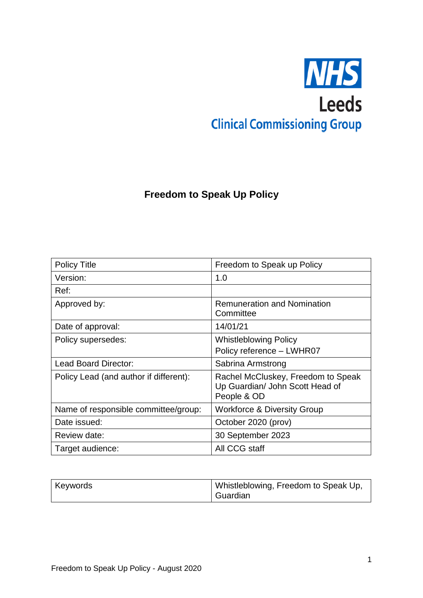# **NHS Leeds Clinical Commissioning Group**

# **Freedom to Speak Up Policy**

| <b>Policy Title</b>                    | Freedom to Speak up Policy                                                           |
|----------------------------------------|--------------------------------------------------------------------------------------|
| Version:                               | 1.0                                                                                  |
| Ref:                                   |                                                                                      |
| Approved by:                           | <b>Remuneration and Nomination</b><br>Committee                                      |
| Date of approval:                      | 14/01/21                                                                             |
| Policy supersedes:                     | <b>Whistleblowing Policy</b>                                                         |
|                                        | Policy reference - LWHR07                                                            |
| <b>Lead Board Director:</b>            | Sabrina Armstrong                                                                    |
| Policy Lead (and author if different): | Rachel McCluskey, Freedom to Speak<br>Up Guardian/ John Scott Head of<br>People & OD |
| Name of responsible committee/group:   | <b>Workforce &amp; Diversity Group</b>                                               |
| Date issued:                           | October 2020 (prov)                                                                  |
| Review date:                           | 30 September 2023                                                                    |
| Target audience:                       | All CCG staff                                                                        |

| <b>Keywords</b> | Whistleblowing, Freedom to Speak Up, |
|-----------------|--------------------------------------|
|                 | Guardian                             |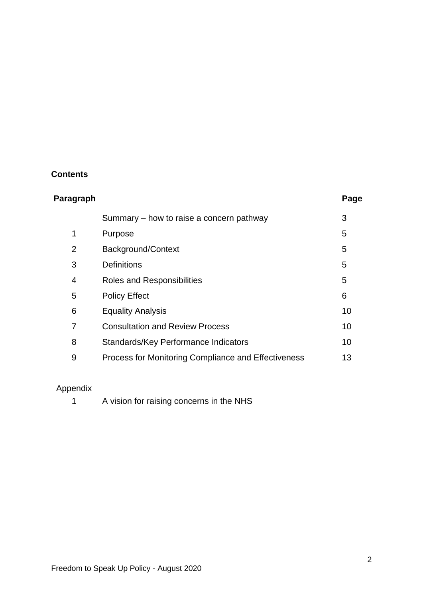# **Contents**

| Paragraph |                                                     | Page |
|-----------|-----------------------------------------------------|------|
|           | Summary – how to raise a concern pathway            | 3    |
| 1         | Purpose                                             | 5    |
| 2         | Background/Context                                  | 5    |
| 3         | <b>Definitions</b>                                  | 5    |
| 4         | Roles and Responsibilities                          | 5    |
| 5         | <b>Policy Effect</b>                                | 6    |
| 6         | <b>Equality Analysis</b>                            | 10   |
| 7         | <b>Consultation and Review Process</b>              | 10   |
| 8         | Standards/Key Performance Indicators                | 10   |
| 9         | Process for Monitoring Compliance and Effectiveness | 13   |

# Appendix

| A vision for raising concerns in the NHS |
|------------------------------------------|
|------------------------------------------|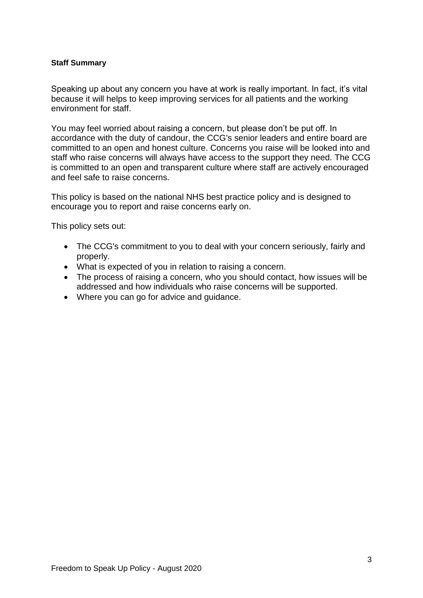#### **Staff Summary**

Speaking up about any concern you have at work is really important. In fact, it's vital because it will helps to keep improving services for all patients and the working environment for staff.

You may feel worried about raising a concern, but please don't be put off. In accordance with the duty of candour, the CCG's senior leaders and entire board are committed to an open and honest culture. Concerns you raise will be looked into and staff who raise concerns will always have access to the support they need. The CCG is committed to an open and transparent culture where staff are actively encouraged and feel safe to raise concerns.

This policy is based on the national NHS best practice policy and is designed to encourage you to report and raise concerns early on.

This policy sets out:

- The CCG's commitment to you to deal with your concern seriously, fairly and properly.
- What is expected of you in relation to raising a concern.
- The process of raising a concern, who you should contact, how issues will be addressed and how individuals who raise concerns will be supported.
- Where you can go for advice and guidance.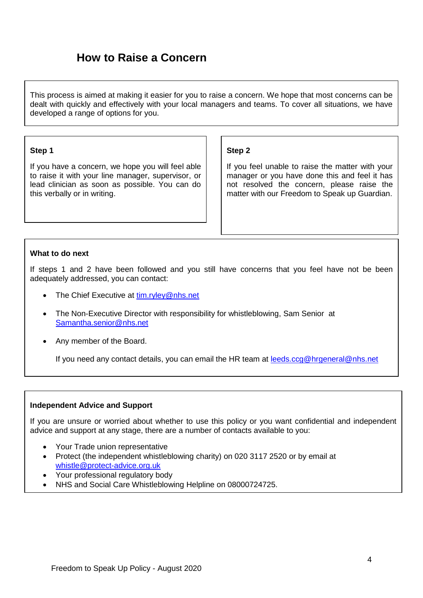# **How to Raise a Concern**

This process is aimed at making it easier for you to raise a concern. We hope that most concerns can be dealt with quickly and effectively with your local managers and teams. To cover all situations, we have developed a range of options for you.

#### **Step 1**

If you have a concern, we hope you will feel able to raise it with your line manager, supervisor, or lead clinician as soon as possible. You can do this verbally or in writing.

#### **Step 2**

If you feel unable to raise the matter with your manager or you have done this and feel it has not resolved the concern, please raise the matter with our Freedom to Speak up Guardian.

#### **What to do next**

If steps 1 and 2 have been followed and you still have concerns that you feel have not be been adequately addressed, you can contact:

- The Chief Executive at [tim.ryley@nhs.net](mailto:tim.ryley@nhs.net)
- The Non-Executive Director with responsibility for whistleblowing, Sam Senior at [Samantha.senior@nhs.net](mailto:Samantha.senior@nhs.net)
- Any member of the Board.

If you need any contact details, you can email the HR team at [leeds.ccg@hrgeneral@nhs.net](mailto:leeds.ccg@hrgeneral@nhs.net)

#### **Independent Advice and Support**

If you are unsure or worried about whether to use this policy or you want confidential and independent advice and support at any stage, there are a number of contacts available to you:

- Your Trade union representative
- Protect (the independent whistleblowing charity) on 020 3117 2520 or by email at [whistle@protect-advice.org.uk](mailto:whistle@protect-advice.org.uk)
- Your professional regulatory body
- NHS and Social Care Whistleblowing Helpline on 08000724725.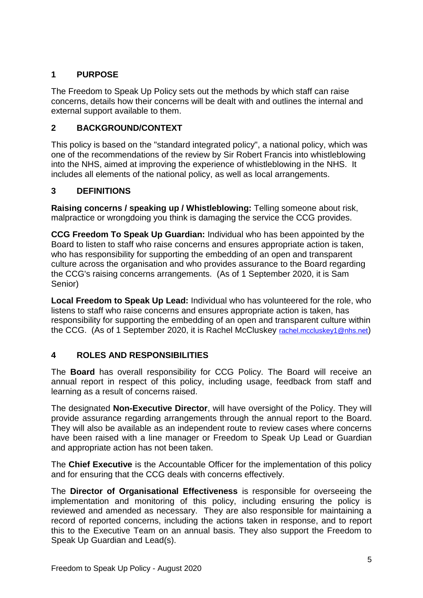# **1 PURPOSE**

The Freedom to Speak Up Policy sets out the methods by which staff can raise concerns, details how their concerns will be dealt with and outlines the internal and external support available to them.

# **2 BACKGROUND/CONTEXT**

This policy is based on the "standard integrated policy", a national policy, which was one of the recommendations of the review by Sir Robert Francis into whistleblowing into the NHS, aimed at improving the experience of whistleblowing in the NHS. It includes all elements of the national policy, as well as local arrangements.

# **3 DEFINITIONS**

**Raising concerns / speaking up / Whistleblowing:** Telling someone about risk, malpractice or wrongdoing you think is damaging the service the CCG provides.

**CCG Freedom To Speak Up Guardian:** Individual who has been appointed by the Board to listen to staff who raise concerns and ensures appropriate action is taken, who has responsibility for supporting the embedding of an open and transparent culture across the organisation and who provides assurance to the Board regarding the CCG's raising concerns arrangements. (As of 1 September 2020, it is Sam Senior)

**Local Freedom to Speak Up Lead:** Individual who has volunteered for the role, who listens to staff who raise concerns and ensures appropriate action is taken, has responsibility for supporting the embedding of an open and transparent culture within the CCG. (As of 1 September 2020, it is Rachel McCluskey [rachel.mccluskey1@nhs.net](mailto:rachel.mccluskey1@nhs.net))

## **4 ROLES AND RESPONSIBILITIES**

The **Board** has overall responsibility for CCG Policy. The Board will receive an annual report in respect of this policy, including usage, feedback from staff and learning as a result of concerns raised.

The designated **Non-Executive Director**, will have oversight of the Policy. They will provide assurance regarding arrangements through the annual report to the Board. They will also be available as an independent route to review cases where concerns have been raised with a line manager or Freedom to Speak Up Lead or Guardian and appropriate action has not been taken.

The **Chief Executive** is the Accountable Officer for the implementation of this policy and for ensuring that the CCG deals with concerns effectively.

The **Director of Organisational Effectiveness** is responsible for overseeing the implementation and monitoring of this policy, including ensuring the policy is reviewed and amended as necessary. They are also responsible for maintaining a record of reported concerns, including the actions taken in response, and to report this to the Executive Team on an annual basis. They also support the Freedom to Speak Up Guardian and Lead(s).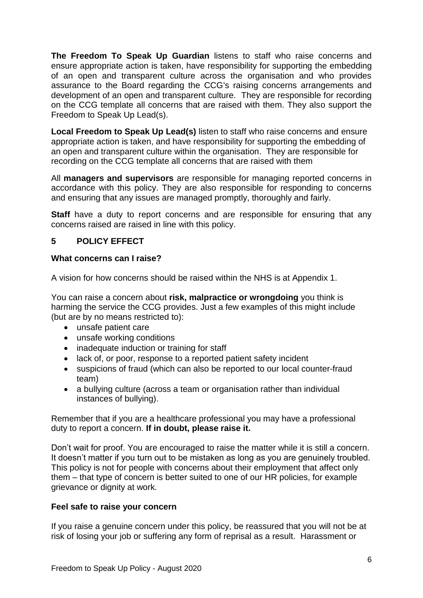**The Freedom To Speak Up Guardian** listens to staff who raise concerns and ensure appropriate action is taken, have responsibility for supporting the embedding of an open and transparent culture across the organisation and who provides assurance to the Board regarding the CCG's raising concerns arrangements and development of an open and transparent culture. They are responsible for recording on the CCG template all concerns that are raised with them. They also support the Freedom to Speak Up Lead(s).

**Local Freedom to Speak Up Lead(s)** listen to staff who raise concerns and ensure appropriate action is taken, and have responsibility for supporting the embedding of an open and transparent culture within the organisation. They are responsible for recording on the CCG template all concerns that are raised with them

All **managers and supervisors** are responsible for managing reported concerns in accordance with this policy. They are also responsible for responding to concerns and ensuring that any issues are managed promptly, thoroughly and fairly.

**Staff** have a duty to report concerns and are responsible for ensuring that any concerns raised are raised in line with this policy.

## **5 POLICY EFFECT**

#### **What concerns can I raise?**

A vision for how concerns should be raised within the NHS is at Appendix 1.

You can raise a concern about **risk, malpractice or wrongdoing** you think is harming the service the CCG provides. Just a few examples of this might include (but are by no means restricted to):

- unsafe patient care
- unsafe working conditions
- inadequate induction or training for staff
- lack of, or poor, response to a reported patient safety incident
- suspicions of fraud (which can also be reported to our local counter-fraud team)
- a bullying culture (across a team or organisation rather than individual instances of bullying).

Remember that if you are a healthcare professional you may have a professional duty to report a concern. **If in doubt, please raise it.** 

Don't wait for proof. You are encouraged to raise the matter while it is still a concern. It doesn't matter if you turn out to be mistaken as long as you are genuinely troubled. This policy is not for people with concerns about their employment that affect only them – that type of concern is better suited to one of our HR policies, for example grievance or dignity at work*.* 

#### **Feel safe to raise your concern**

If you raise a genuine concern under this policy, be reassured that you will not be at risk of losing your job or suffering any form of reprisal as a result. Harassment or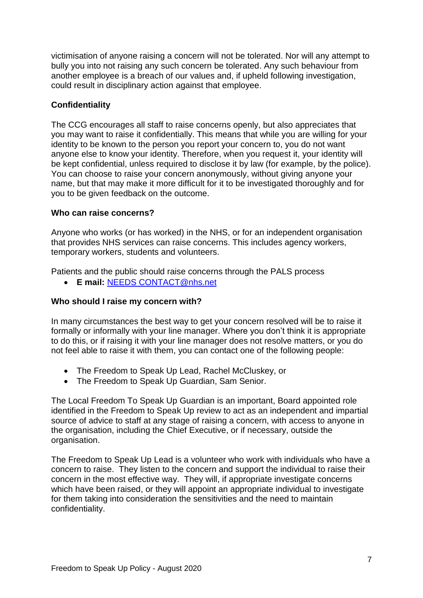victimisation of anyone raising a concern will not be tolerated. Nor will any attempt to bully you into not raising any such concern be tolerated. Any such behaviour from another employee is a breach of our values and, if upheld following investigation, could result in disciplinary action against that employee.

#### **Confidentiality**

The CCG encourages all staff to raise concerns openly, but also appreciates that you may want to raise it confidentially. This means that while you are willing for your identity to be known to the person you report your concern to, you do not want anyone else to know your identity. Therefore, when you request it, your identity will be kept confidential, unless required to disclose it by law (for example, by the police). You can choose to raise your concern anonymously, without giving anyone your name, but that may make it more difficult for it to be investigated thoroughly and for you to be given feedback on the outcome.

#### **Who can raise concerns?**

Anyone who works (or has worked) in the NHS, or for an independent organisation that provides NHS services can raise concerns. This includes agency workers, temporary workers, students and volunteers.

Patients and the public should raise concerns through the PALS process

**E mail:** [NEEDS CONTACT@nhs.net](mailto:NEEDS%20CONTACT@nhs.net)

#### **Who should I raise my concern with?**

In many circumstances the best way to get your concern resolved will be to raise it formally or informally with your line manager. Where you don't think it is appropriate to do this, or if raising it with your line manager does not resolve matters, or you do not feel able to raise it with them, you can contact one of the following people:

- The Freedom to Speak Up Lead, Rachel McCluskey, or
- The Freedom to Speak Up Guardian, Sam Senior.

The Local Freedom To Speak Up Guardian is an important, Board appointed role identified in the Freedom to Speak Up review to act as an independent and impartial source of advice to staff at any stage of raising a concern, with access to anyone in the organisation, including the Chief Executive, or if necessary, outside the organisation.

The Freedom to Speak Up Lead is a volunteer who work with individuals who have a concern to raise. They listen to the concern and support the individual to raise their concern in the most effective way. They will, if appropriate investigate concerns which have been raised, or they will appoint an appropriate individual to investigate for them taking into consideration the sensitivities and the need to maintain confidentiality.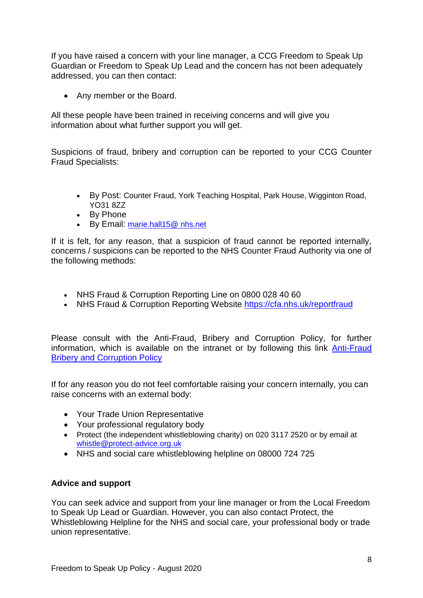If you have raised a concern with your line manager, a CCG Freedom to Speak Up Guardian or Freedom to Speak Up Lead and the concern has not been adequately addressed, you can then contact:

• Any member or the Board.

All these people have been trained in receiving concerns and will give you information about what further support you will get.

Suspicions of fraud, bribery and corruption can be reported to your CCG Counter Fraud Specialists:

- By Post: Counter Fraud, York Teaching Hospital, Park House, Wigginton Road, YO31 8ZZ
- By Phone
- By Email: [marie.hall15@ nhs.net](mailto:marie.hall15@%20nhs.net)

If it is felt, for any reason, that a suspicion of fraud cannot be reported internally, concerns / suspicions can be reported to the NHS Counter Fraud Authority via one of the following methods:

- NHS Fraud & Corruption Reporting Line on 0800 028 40 60
- NHS Fraud & Corruption Reporting Website<https://cfa.nhs.uk/reportfraud>

Please consult with the Anti-Fraud, Bribery and Corruption Policy, for further information, which is available on the intranet or by following this link [Anti-Fraud](http://thehub.leedsth.nhs.uk/Documents/PoliciesandProcedure/Anti-Fraud,%20Bribery%20and%20Corruption%20Policy.docx)  [Bribery and Corruption Policy](http://thehub.leedsth.nhs.uk/Documents/PoliciesandProcedure/Anti-Fraud,%20Bribery%20and%20Corruption%20Policy.docx)

If for any reason you do not feel comfortable raising your concern internally, you can raise concerns with an external body:

- Your Trade Union Representative
- Your professional regulatory body
- Protect (the independent whistleblowing charity) on 020 3117 2520 or by email at [whistle@protect-advice.org.uk](mailto:whistle@protect-advice.org.uk)
- NHS and social care whistleblowing helpline on 08000 724 725

#### **Advice and support**

You can seek advice and support from your line manager or from the Local Freedom to Speak Up Lead or Guardian. However, you can also contact Protect, the Whistleblowing Helpline for the NHS and social care, your professional body or trade union representative.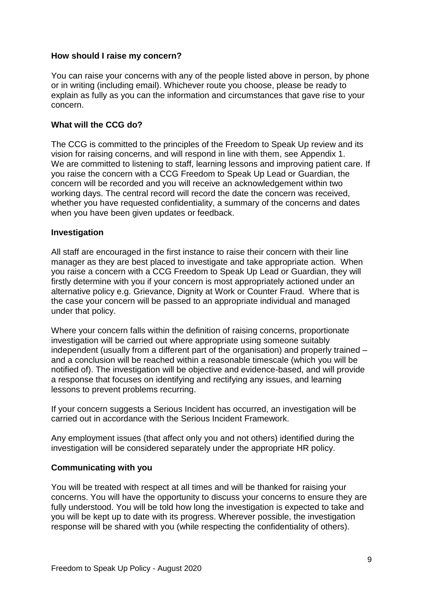#### **How should I raise my concern?**

You can raise your concerns with any of the people listed above in person, by phone or in writing (including email). Whichever route you choose, please be ready to explain as fully as you can the information and circumstances that gave rise to your concern.

#### **What will the CCG do?**

The CCG is committed to the principles of the Freedom to Speak Up review and its vision for raising concerns, and will respond in line with them, see Appendix 1. We are committed to listening to staff, learning lessons and improving patient care. If you raise the concern with a CCG Freedom to Speak Up Lead or Guardian, the concern will be recorded and you will receive an acknowledgement within two working days. The central record will record the date the concern was received, whether you have requested confidentiality, a summary of the concerns and dates when you have been given updates or feedback.

#### **Investigation**

All staff are encouraged in the first instance to raise their concern with their line manager as they are best placed to investigate and take appropriate action. When you raise a concern with a CCG Freedom to Speak Up Lead or Guardian, they will firstly determine with you if your concern is most appropriately actioned under an alternative policy e.g. Grievance, Dignity at Work or Counter Fraud. Where that is the case your concern will be passed to an appropriate individual and managed under that policy.

Where your concern falls within the definition of raising concerns, proportionate investigation will be carried out where appropriate using someone suitably independent (usually from a different part of the organisation) and properly trained – and a conclusion will be reached within a reasonable timescale (which you will be notified of). The investigation will be objective and evidence-based, and will provide a response that focuses on identifying and rectifying any issues, and learning lessons to prevent problems recurring.

If your concern suggests a Serious Incident has occurred, an investigation will be carried out in accordance with the Serious Incident Framework.

Any employment issues (that affect only you and not others) identified during the investigation will be considered separately under the appropriate HR policy.

## **Communicating with you**

You will be treated with respect at all times and will be thanked for raising your concerns. You will have the opportunity to discuss your concerns to ensure they are fully understood. You will be told how long the investigation is expected to take and you will be kept up to date with its progress. Wherever possible, the investigation response will be shared with you (while respecting the confidentiality of others).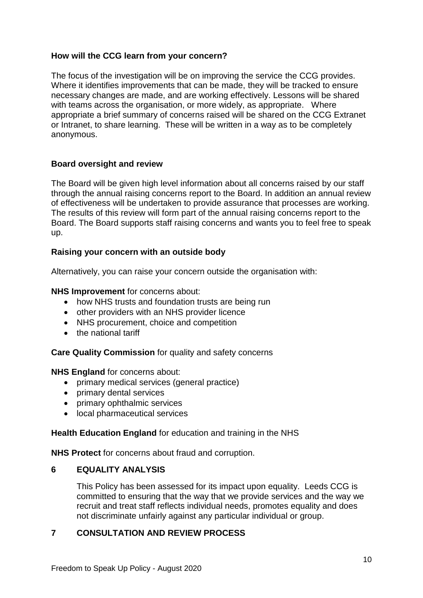#### **How will the CCG learn from your concern?**

The focus of the investigation will be on improving the service the CCG provides. Where it identifies improvements that can be made, they will be tracked to ensure necessary changes are made, and are working effectively. Lessons will be shared with teams across the organisation, or more widely, as appropriate. Where appropriate a brief summary of concerns raised will be shared on the CCG Extranet or Intranet, to share learning. These will be written in a way as to be completely anonymous.

#### **Board oversight and review**

The Board will be given high level information about all concerns raised by our staff through the annual raising concerns report to the Board. In addition an annual review of effectiveness will be undertaken to provide assurance that processes are working. The results of this review will form part of the annual raising concerns report to the Board. The Board supports staff raising concerns and wants you to feel free to speak up.

#### **Raising your concern with an outside body**

Alternatively, you can raise your concern outside the organisation with:

#### **NHS Improvement** for concerns about:

- how NHS trusts and foundation trusts are being run
- other providers with an NHS provider licence
- NHS procurement, choice and competition
- the national tariff

**Care Quality Commission** for quality and safety concerns

**NHS England** for concerns about:

- primary medical services (general practice)
- primary dental services
- primary ophthalmic services
- local pharmaceutical services

#### **Health Education England** for education and training in the NHS

**NHS Protect** for concerns about fraud and corruption.

#### **6 EQUALITY ANALYSIS**

This Policy has been assessed for its impact upon equality. Leeds CCG is committed to ensuring that the way that we provide services and the way we recruit and treat staff reflects individual needs, promotes equality and does not discriminate unfairly against any particular individual or group.

#### **7 CONSULTATION AND REVIEW PROCESS**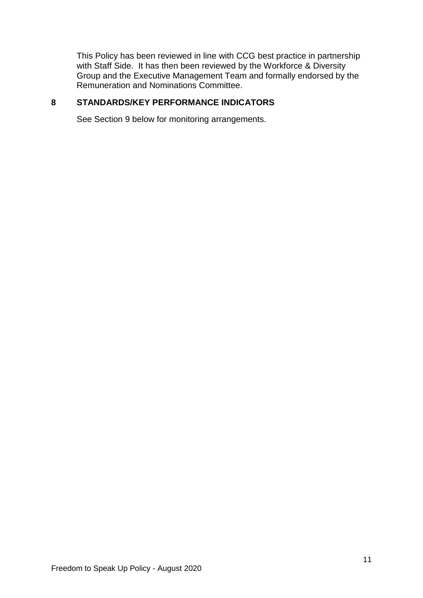This Policy has been reviewed in line with CCG best practice in partnership with Staff Side. It has then been reviewed by the Workforce & Diversity Group and the Executive Management Team and formally endorsed by the Remuneration and Nominations Committee.

## **8 STANDARDS/KEY PERFORMANCE INDICATORS**

See Section 9 below for monitoring arrangements.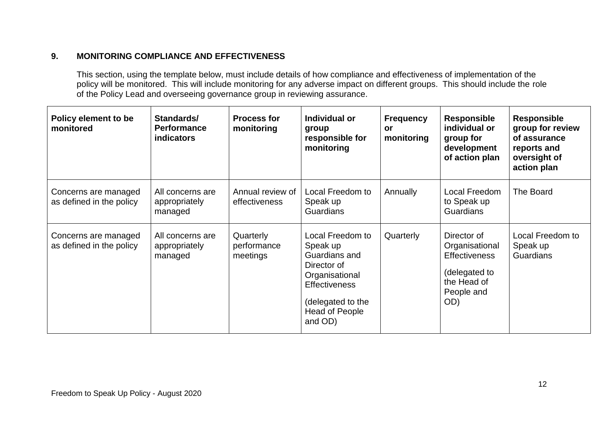# **9. MONITORING COMPLIANCE AND EFFECTIVENESS**

This section, using the template below, must include details of how compliance and effectiveness of implementation of the policy will be monitored. This will include monitoring for any adverse impact on different groups. This should include the role of the Policy Lead and overseeing governance group in reviewing assurance.

| Policy element to be<br>monitored                | Standards/<br><b>Performance</b><br>indicators | <b>Process for</b><br>monitoring     | Individual or<br>group<br>responsible for<br>monitoring                                                                                                         | <b>Frequency</b><br><b>or</b><br>monitoring | <b>Responsible</b><br>individual or<br>group for<br>development<br>of action plan                          | <b>Responsible</b><br>group for review<br>of assurance<br>reports and<br>oversight of<br>action plan |
|--------------------------------------------------|------------------------------------------------|--------------------------------------|-----------------------------------------------------------------------------------------------------------------------------------------------------------------|---------------------------------------------|------------------------------------------------------------------------------------------------------------|------------------------------------------------------------------------------------------------------|
| Concerns are managed<br>as defined in the policy | All concerns are<br>appropriately<br>managed   | Annual review of<br>effectiveness    | Local Freedom to<br>Speak up<br>Guardians                                                                                                                       | Annually                                    | Local Freedom<br>to Speak up<br><b>Guardians</b>                                                           | The Board                                                                                            |
| Concerns are managed<br>as defined in the policy | All concerns are<br>appropriately<br>managed   | Quarterly<br>performance<br>meetings | Local Freedom to<br>Speak up<br>Guardians and<br>Director of<br>Organisational<br><b>Effectiveness</b><br>(delegated to the<br><b>Head of People</b><br>and OD) | Quarterly                                   | Director of<br>Organisational<br><b>Effectiveness</b><br>(delegated to<br>the Head of<br>People and<br>OD) | Local Freedom to<br>Speak up<br><b>Guardians</b>                                                     |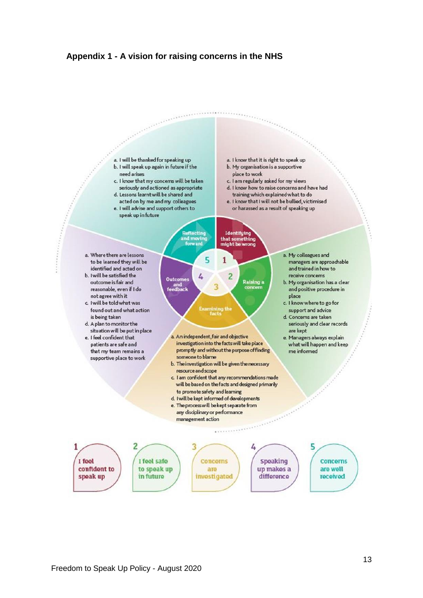#### **Appendix 1 - A vision for raising concerns in the NHS**

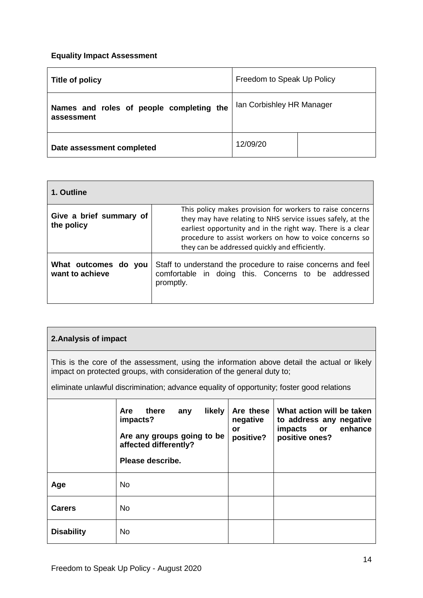#### **Equality Impact Assessment**

| Title of policy                                        | Freedom to Speak Up Policy |  |
|--------------------------------------------------------|----------------------------|--|
| Names and roles of people completing the<br>assessment | Ian Corbishley HR Manager  |  |
| Date assessment completed                              | 12/09/20                   |  |

| 1. Outline                              |                                                                                                                                                                                                                                                                                                      |
|-----------------------------------------|------------------------------------------------------------------------------------------------------------------------------------------------------------------------------------------------------------------------------------------------------------------------------------------------------|
| Give a brief summary of<br>the policy   | This policy makes provision for workers to raise concerns<br>they may have relating to NHS service issues safely, at the<br>earliest opportunity and in the right way. There is a clear<br>procedure to assist workers on how to voice concerns so<br>they can be addressed quickly and efficiently. |
| What outcomes do you<br>want to achieve | Staff to understand the procedure to raise concerns and feel<br>comfortable in doing this. Concerns to be addressed<br>promptly.                                                                                                                                                                     |

#### **2.Analysis of impact**

This is the core of the assessment, using the information above detail the actual or likely impact on protected groups, with consideration of the general duty to;

eliminate unlawful discrimination; advance equality of opportunity; foster good relations

|                   | likely<br>there<br><b>Are</b><br>any<br>impacts?<br>Are any groups going to be<br>affected differently?<br>Please describe. | Are these<br>negative<br>or<br>positive? | What action will be taken<br>to address any negative<br>enhance<br>impacts or<br>positive ones? |
|-------------------|-----------------------------------------------------------------------------------------------------------------------------|------------------------------------------|-------------------------------------------------------------------------------------------------|
| Age               | No.                                                                                                                         |                                          |                                                                                                 |
| <b>Carers</b>     | <b>No</b>                                                                                                                   |                                          |                                                                                                 |
| <b>Disability</b> | <b>No</b>                                                                                                                   |                                          |                                                                                                 |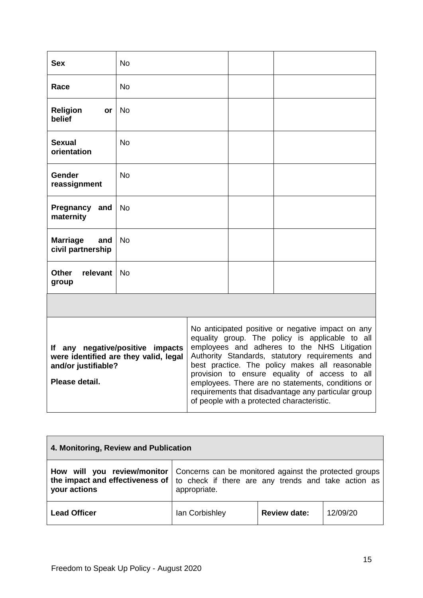| <b>Sex</b>                                                                                                                                                                                                                                                                                                                                                                                                                                                                                                                                                                                | No        |  |  |
|-------------------------------------------------------------------------------------------------------------------------------------------------------------------------------------------------------------------------------------------------------------------------------------------------------------------------------------------------------------------------------------------------------------------------------------------------------------------------------------------------------------------------------------------------------------------------------------------|-----------|--|--|
| Race                                                                                                                                                                                                                                                                                                                                                                                                                                                                                                                                                                                      | <b>No</b> |  |  |
| <b>Religion</b><br>or<br>belief                                                                                                                                                                                                                                                                                                                                                                                                                                                                                                                                                           | <b>No</b> |  |  |
| <b>Sexual</b><br>orientation                                                                                                                                                                                                                                                                                                                                                                                                                                                                                                                                                              | <b>No</b> |  |  |
| Gender<br>reassignment                                                                                                                                                                                                                                                                                                                                                                                                                                                                                                                                                                    | No        |  |  |
| Pregnancy<br>and<br>maternity                                                                                                                                                                                                                                                                                                                                                                                                                                                                                                                                                             | No        |  |  |
| <b>Marriage</b><br>and<br>civil partnership                                                                                                                                                                                                                                                                                                                                                                                                                                                                                                                                               | No        |  |  |
| <b>Other</b><br>relevant<br>group                                                                                                                                                                                                                                                                                                                                                                                                                                                                                                                                                         | <b>No</b> |  |  |
|                                                                                                                                                                                                                                                                                                                                                                                                                                                                                                                                                                                           |           |  |  |
| No anticipated positive or negative impact on any<br>equality group. The policy is applicable to all<br>employees and adheres to the NHS Litigation<br>If any negative/positive impacts<br>Authority Standards, statutory requirements and<br>were identified are they valid, legal<br>best practice. The policy makes all reasonable<br>and/or justifiable?<br>provision to ensure equality of access to all<br>Please detail.<br>employees. There are no statements, conditions or<br>requirements that disadvantage any particular group<br>of people with a protected characteristic. |           |  |  |

| 4. Monitoring, Review and Publication |                                                                                                                                                                                                          |                     |          |  |
|---------------------------------------|----------------------------------------------------------------------------------------------------------------------------------------------------------------------------------------------------------|---------------------|----------|--|
| your actions                          | <b>How will you review/monitor</b> Concerns can be monitored against the protected groups<br>the impact and effectiveness of $\vert$ to check if there are any trends and take action as<br>appropriate. |                     |          |  |
| <b>Lead Officer</b>                   | lan Corbishley                                                                                                                                                                                           | <b>Review date:</b> | 12/09/20 |  |